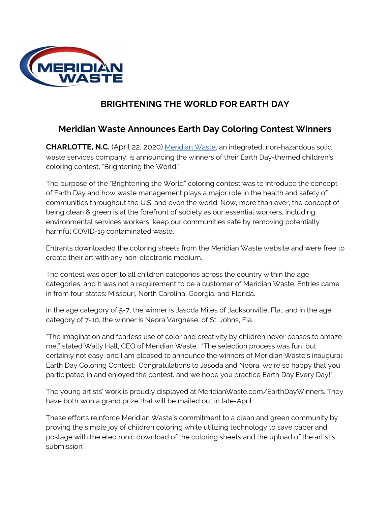

## **BRIGHTENING THE WORLD FOR EARTH DAY**

## **Meridian Waste Announces Earth Day Coloring Contest Winners**

**CHARLOTTE, N.C.** (April 22, 2020) [Meridian](https://www.meridianwaste.com/) Waste, an integrated, non-hazardous solid waste services company, is announcing the winners of their Earth Day-themed children's coloring contest, "Brightening the World."

The purpose of the "Brightening the World" coloring contest was to introduce the concept of Earth Day and how waste management plays a major role in the health and safety of communities throughout the U.S. and even the world. Now, more than ever, the concept of being clean & green is at the forefront of society as our essential workers, including environmental services workers, keep our communities safe by removing potentially harmful COVID-19 contaminated waste.

Entrants downloaded the coloring sheets from the Meridian Waste website and were free to create their art with any non-electronic medium.

The contest was open to all children categories across the country within the age categories, and it was not a requirement to be a customer of Meridian Waste. Entries came in from four states: Missouri, North Carolina, Georgia, and Florida.

In the age category of 5-7, the winner is Jasoda Miles of Jacksonville, Fla., and in the age category of 7-10, the winner is Neora Varghese, of St. Johns, Fla.

"The imagination and fearless use of color and creativity by children never ceases to amaze me," stated Wally Hall, CEO of Meridian Waste. "The selection process was fun, but certainly not easy, and I am pleased to announce the winners of Meridian Waste's inaugural Earth Day Coloring Contest: Congratulations to Jasoda and Neora, we're so happy that you participated in and enjoyed the contest, and we hope you practice Earth Day Every Day!"

The young artists' work is proudly displayed at MeridianWaste.com/EarthDayWinners. They have both won a grand prize that will be mailed out in late-April.

These efforts reinforce Meridian Waste's commitment to a clean and green community by proving the simple joy of children coloring while utilizing technology to save paper and postage with the electronic download of the coloring sheets and the upload of the artist's submission.